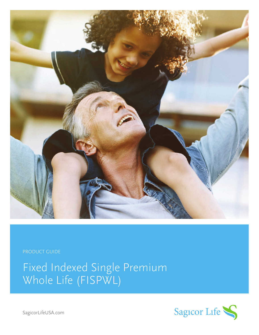

PRODUCT GUIDE

Fixed Indexed Single Premium Whole Life (FISPWL)

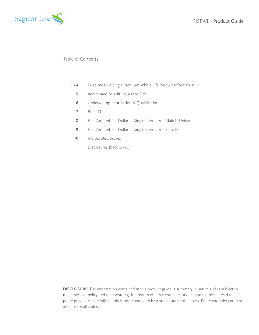

# Table of Contents

- Fixed Indexed Single Premium Whole Life Product Information 3 - 4
	- Accelerated Benefit Insurance Rider 5
	- Underwriting Information & Qualification 6
	- Build Chart 7
	- Face Amount Per Dollar of Single Premium Male & Unisex 8
	- Face Amount Per Dollar of Single Premium Female 9
	- Indices Disclosures 10

Disclosures (back cover)

**DISCLOSURE:** The information contained in this product guide is summary in nature and is subject to the applicable policy and rider wording. In order to obtain a complete understanding, please read the policy provisions carefully as this is not intended to be a substitute for the policy. Policy and riders are not available in all states.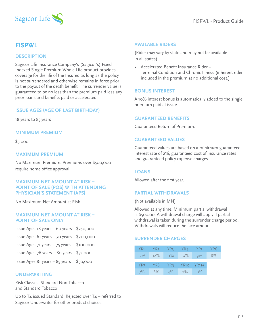



# **FISPWL**

### **DESCRIPTION**

Sagicor Life Insurance Company's (Sagicor's) Fixed Indexed Single Premium Whole Life product provides coverage for the life of the Insured as long as the policy is not surrendered and otherwise remains in force prior to the payout of the death benefit. The surrender value is guaranteed to be no less than the premium paid less any prior loans and benefits paid or accelerated.

### **ISSUE AGES (AGE OF LAST BIRTHDAY)**

18 years to 85 years

#### **MINIMUM PREMIUM**

\$5,000

### **MAXIMUM PREMIUM**

No Maximum Premium. Premiums over \$500,000 require home office approval.

### **MAXIMUM NET AMOUNT AT RISK – POINT OF SALE (POS) WITH ATTENDING PHYSICIAN'S STATEMENT (APS)**

No Maximum Net Amount at Risk

#### **MAXIMUM NET AMOUNT AT RISK – POINT OF SALE ONLY**

- $Is sue Aees 18 years 60 years$  \$250,000 Issue Ages 61 years – 70 years \$200,000
- Issue Ages  $71$  years  $75$  years  $$100,000$
- Issue Ages 76 years 80 years \$75,000
- $Is sue Ages 81 years 85 years$  \$50,000

### **UNDERWRITING**

Risk Classes: Standard Non-Tobacco and Standard Tobacco

Up to T4 issued Standard. Rejected over  $T_4$  – referred to Sagicor Underwriter for other product choices.

### **AVAILABLE RIDERS**

(Rider may vary by state and may not be available in all states)

• Accelerated Benefit Insurance Rider – Terminal Condition and Chronic Illness (inherent rider included in the premium at no additional cost.)

#### **BONUS INTEREST**

A 10% interest bonus is automatically added to the single premium paid at issue.

### **GUARANTEED BENEFITS**

Guaranteed Return of Premium.

### **GUARANTEED VALUES**

Guaranteed values are based on a minimum guaranteed interest rate of 2%, guaranteed cost of insurance rates and guaranteed policy expense charges.

### **LOANS**

Allowed after the first year.

### **PARTIAL WITHDRAWALS**

(Not available in MN)

Allowed at any time. Minimum partial withdrawal is \$500.00. A withdrawal charge will apply if partial withdrawal is taken during the surrender charge period. Withdrawals will reduce the face amount.

### **SURRENDER CHARGES**

| YR <sub>1</sub> | YR2 Y  | YR3                | YR4   | - YR5 -   | YR6 |
|-----------------|--------|--------------------|-------|-----------|-----|
| $12\%$          | $12\%$ | $11\%$             | 10%   | 9%        | -8% |
|                 |        |                    |       |           |     |
| YR <sub>7</sub> |        | YR8 YR9 YR10 YR11+ |       |           |     |
| 7%              | 6%     | $4\%$              | $2\%$ | $\circ\%$ |     |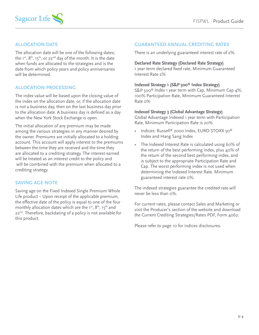

# **ALLOCATION DATE**

The allocation date will be one of the following dates; the  $1^{st}$ ,  $8^{th}$ ,  $15^{th}$ , or 22<sup>nd</sup> day of the month. It is the date when funds are allocated to the strategies and is the date from which policy years and policy anniversaries will be determined.

# **ALLOCATION PROCESSING**

The index value will be based upon the closing value of the index on the allocation date, or, if the allocation date is not a business day, then on the last business day prior to the allocation date. A business day is defined as a day when the New York Stock Exchange is open.

The initial allocation of any premium may be made among the various strategies in any manner desired by the owner. Premiums are initially allocated to a holding account. This account will apply interest to the premiums between the time they are received and the time they are allocated to a crediting strategy. The interest earned will be treated as an interest credit to the policy and will be combined with the premium when allocated to a crediting strategy.

# **SAVING AGE NOTE**

Saving age on the Fixed Indexed Single Premium Whole Life product – Upon receipt of the applicable premium, the effective date of the policy is equal to one of the four monthly allocation dates which are the 1st, 8<sup>th</sup>, 15<sup>th</sup> and 22<sup>nd</sup>. Therefore, backdating of a policy is not available for this product.

# **GUARANTEED ANNUAL CREDITING RATES**

There is an underlying guaranteed interest rate of 2%.

### **Declared Rate Strategy (Declared Rate Strategy)**

1 year term declared fixed rate, Minimum Guaranteed Interest Rate 2%

#### **Indexed Strategy 1 (S&P 500® Index Strategy)**

S&P 500<sup>®</sup> Index 1 year term with Cap, Minimum Cap 4%, 100% Participation Rate, Minimum Guaranteed Interest Rate 0%

#### **Indexed Strategy 3 (Global Advantage Strategy)**

Global Advantage Indexed 1 year term with Participation Rate, Minimum Participation Rate is 20%

- Indices: Russell® 2000 Index, EURO STOXX 50® Index and Hang Sang Index
- The Indexed Interest Rate is calculated using 60% of the return of the best performing index, plus 40% of the return of the second best performing index, and is subject to the appropriate Participation Rate and Cap. The worst performing index is not used when determining the Indexed Interest Rate. Minimum guaranteed interest rate 0%.

The indexed strategies guarantee the credited rate will never be less than 0%.

For current rates, please contact Sales and Marketing or visit the Producer's section of the website and download the Current Crediting Strategies/Rates PDF, Form 4062.

Please refer to page 10 for indices disclosures.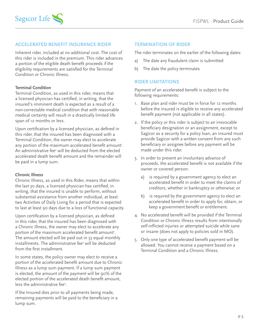

# **ACCELERATED BENEFIT INSURANCE RIDER**

Inherent rider, included at no additional cost. The cost of this rider is included in the premium. This rider advances a portion of the eligible death benefit proceeds if the eligibility requirements are satisfied for the Terminal Condition or Chronic Illness.

### **Terminal Condition**

Terminal Condition, as used in this rider, means that a licensed physician has certified, in writing, that the insured's imminent death is expected as a result of a non-correctable medical condition that with reasonable medical certainty will result in a drastically limited life span of 12 months or less.

Upon certification by a licensed physician, as defined in this rider, that the insured has been diagnosed with a Terminal Condition, the owner may elect to accelerate any portion of the maximum accelerated benefit amount<sup>1</sup>. An administrative fee<sup>2</sup> will be deducted from the elected accelerated death benefit amount and the remainder will be paid in a lump sum.

### **Chronic Illness**

Chronic Illness, as used in this Rider, means that within the last 30 days, a licensed physician has certified, in writing, that the insured is unable to perform, without substantial assistance from another individual, at least two Activities of Daily Living for a period that is expected to last at least 90 days due to a loss of functional capacity.

Upon certification by a licensed physician, as defined in this rider, that the insured has been diagnosed with a Chronic Illness, the owner may elect to accelerate any portion of the maximum accelerated benefit amount<sup>1</sup>. The amount elected will be paid out in 33 equal monthly installments. The administrative fee<sup>2</sup> will be deducted from the first installment.

In some states, the policy owner may elect to receive a portion of the accelerated benefit amount due to Chronic Illness as a lump sum payment. If a lump sum payment is elected, the amount of the payment will be 90% of the elected portion of the accelerated death benefit amount, less the administrative fee<sup>2</sup>.

If the Insured dies prior to all payments being made, remaining payments will be paid to the beneficiary in a lump sum.

### **TERMINATION OF RIDER**

The rider terminates on the earlier of the following dates:

- a) The date any fraudulent claim is submitted
- b) The date the policy terminates

### **RIDER LIMITATIONS**

Payment of an accelerated benefit is subject to the following requirements:

- 1. Base plan and rider must be in force for 12 months before the insured is eligible to receive any accelerated benefit payment (not applicable in all states).
- 2. If the policy or this rider is subject to an irrevocable beneficiary designation or an assignment, except to Sagicor as a security for a policy loan, an insured must provide Sagicor with a written consent from any such beneficiary or assignee before any payment will be made under this rider.
- 3. In order to prevent an involuntary advance of proceeds, the accelerated benefit is not available if the owner or covered person:
	- a) is required by a government agency to elect an accelerated benefit in order to meet the claims of creditors, whether in bankruptcy or otherwise; or
	- b) is required by the government agency to elect an accelerated benefit in order to apply for, obtain, or keep a government benefit or entitlement.
- 4. No accelerated benefit will be provided if the Terminal Condition or Chronic Illness results from intentionally self-inflicted injuries or attempted suicide while sane or insane (does not apply to policies sold in MO).
- 5. Only one type of accelerated benefit payment will be allowed. You cannot receive a payment based on a Terminal Condition and a Chronic Illness.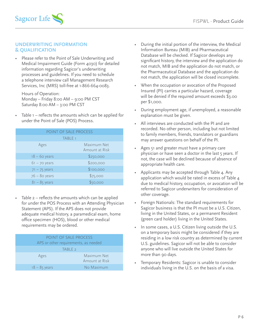

### **UNDERWRITING INFORMATION & QUALIFICATION**

• Please refer to the Point of Sale Underwriting and Medical Impairment Guide (Form 4030) for detailed information regarding Sagicor's underwriting processes and guidelines. If you need to schedule a telephone interview call Management Research Services, Inc (MRS) toll-free at 1-866-664-0083.

Hours of Operation: Monday – Friday 8:00 AM – 9:00 PM CST Saturday 8:00 AM – 3:00 PM CST

Table  $1$  – reflects the amounts which can be applied for under the Point of Sale (POS) Process.

| POINT OF SALE PROCESS |                               |  |  |
|-----------------------|-------------------------------|--|--|
| <b>TABLE 1</b>        |                               |  |  |
| Ages                  | Maximum Net<br>Amount at Risk |  |  |
| $18 - 60$ years       | \$250,000                     |  |  |
| $61 - 70$ years       | \$200,000                     |  |  |
| $71 - 75$ years       | \$100,000                     |  |  |
| $76 - 80$ years       | \$75,000                      |  |  |
| $81 - 85$ years       | \$50,000                      |  |  |
|                       |                               |  |  |

• Table 2 – reflects the amounts which can be applied for under the POS Process with an Attending Physician Statement (APS). If the APS does not provide adequate medical history, a paramedical exam, home office specimen (HOS), blood or other medical requirements may be ordered.

| POINT OF SALE PROCESS                |                               |  |  |
|--------------------------------------|-------------------------------|--|--|
| APS or other requirements, as needed |                               |  |  |
| TABIF <sub>2</sub>                   |                               |  |  |
| Ages                                 | Maximum Net<br>Amount at Risk |  |  |
| $18 - 85$ years                      | No Maximum                    |  |  |

- During the initial portion of the interview, the Medical Information Bureau (MIB) and Pharmaceutical Database will be checked. If Sagicor develops any significant history, the interview and the application do not match, MIB and the application do not match, or the Pharmaceutical Database and the application do not match, the application will be closed incomplete.
- When the occupation or avocation of the Proposed Insured (PI) carries a particular hazard, coverage will be denied if the required amount exceeds \$3.00 per \$1,000.
- During employment age, if unemployed, a reasonable explanation must be given.
- All interviews are conducted with the PI and are recorded. No other person, including but not limited to family members, friends, translators or guardians may answer questions on behalf of the PI.
- Ages 51 and greater must have a primary care physician or have seen a doctor in the last 5 years. If not, the case will be declined because of absence of appropriate health care.
- Applicants may be accepted through Table 4. Any application which would be rated in excess of Table 4 due to medical history, occupation, or avocation will be referred to Sagicor underwriters for consideration of other coverage.
- Foreign Nationals: The standard requirements for Sagicor business is that the PI must be a U.S. Citizen, living in the United States, or a permanent Resident (green card holder) living in the United States.
- In some cases, a U.S. Citizen living outside the U.S. on a temporary basis might be considered if they are residing in a low risk country as determined by current U.S. guidelines. Sagicor will not be able to consider anyone who will live outside the United States for more than 90 days.
- Temporary Residents: Sagicor is unable to consider individuals living in the U.S. on the basis of a visa.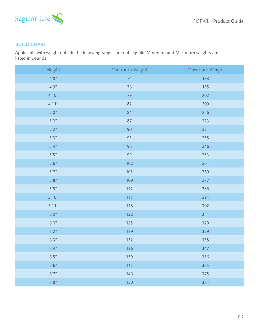

# **BUILD CHART**

Applicants with weight outside the following ranges are not eligible. Minimum and Maximum weights are listed in pounds.

| Height  | Minimum Weight | Maximum Weight |
|---------|----------------|----------------|
| 4'8''   | 74             | 188            |
| 4'9''   | 76             | 195            |
| 4'10''  | 79             | 202            |
| 4'11''  | 82             | 209            |
| 5'0''   | 84             | 216            |
| 5'1"    | 87             | 223            |
| 5'2"    | 90             | 231            |
| $5'3"$  | 93             | 238            |
| 5'4"    | 96             | 246            |
| 5'5''   | 99             | 253            |
| 5'6''   | 102            | 261            |
| 5'7''   | 105            | 269            |
| $5'8"$  | 109            | 277            |
| 5'9"    | 112            | 286            |
| 5'10"   | 115            | 294            |
| 5'11"   | 118            | 302            |
| $6'0''$ | 122            | 311            |
| 6'1''   | 125            | 320            |
| 6'2''   | 129            | 329            |
| 6'3''   | 132            | 338            |
| 6'4''   | 136            | 347            |
| 6'5''   | 139            | 356            |
| 6'6''   | 143            | 365            |
| 6'7''   | 146            | 375            |
| 6'8"    | 150            | 384            |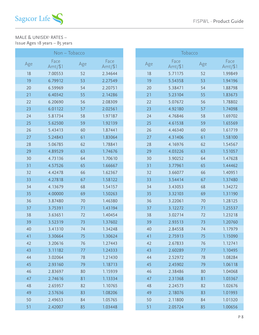

### MALE & UNISEX<sup>3</sup> RATES -Issue Ages 18 years – 85 years

| Non – Tobacco |                   |     |                   |  |  |
|---------------|-------------------|-----|-------------------|--|--|
| Age           | Face<br>$Amt/\$1$ | Age | Face<br>$Amt/\$1$ |  |  |
| 18            | 7.00553           | 52  | 2.34644           |  |  |
| 19            | 6.79912           | 53  | 2.27549           |  |  |
| 20            | 6.59969           | 54  | 2.20751           |  |  |
| 21            | 6.40342           | 55  | 2.14286           |  |  |
| 22            | 6.20690           | 56  | 2.08309           |  |  |
| 23            | 6.01122           | 57  | 2.02561           |  |  |
| 24            | 5.81734           | 58  | 1.97187           |  |  |
| 25            | 5.62500           | 59  | 1.92139           |  |  |
| 26            | 5.43413           | 60  | 1.87441           |  |  |
| 27            | 5.24843           | 61  | 1.83064           |  |  |
| 28            | 5.06785           | 62  | 1.78841           |  |  |
| 29            | 4.89529           | 63  | 1.74676           |  |  |
| 30            | 4.73136           | 64  | 1.70610           |  |  |
| 31            | 4.57526           | 65  | 1.66667           |  |  |
| 32            | 4.42478           | 66  | 1.62367           |  |  |
| 33            | 4.27818           | 67  | 1.58122           |  |  |
| 34            | 4.13679           | 68  | 1.54157           |  |  |
| 35            | 4.00000           | 69  | 1.50263           |  |  |
| 36            | 3.87480           | 70  | 1.46380           |  |  |
| 37            | 3.75391           | 71  | 1.43194           |  |  |
| 38            | 3.63651           | 72  | 1.40454           |  |  |
| 39            | 3.52319           | 73  | 1.37602           |  |  |
| 40            | 3.41310           | 74  | 1.34248           |  |  |
| 41            | 3.30664           | 75  | 1.30624           |  |  |
| 42            | 3.20616           | 76  | 1.27443           |  |  |
| 43            | 3.11182           | 77  | 1.24333           |  |  |
| 44            | 3.02064           | 78  | 1.21430           |  |  |
| 45            | 2.93160           | 79  | 1.18713           |  |  |
| 46            | 2.83697           | 80  | 1.15939           |  |  |
| 47            | 2.74616           | 81  | 1.13334           |  |  |
| 48            | 2.65957           | 82  | 1.10765           |  |  |
| 49            | 2.57636           | 83  | 1.08206           |  |  |
| 50            | 2.49653           | 84  | 1.05765           |  |  |
| 51            | 2.42007           | 85  | 1.03448           |  |  |

| Tobacco |                  |     |                  |  |
|---------|------------------|-----|------------------|--|
| Age     | Face<br>$Amt/\$$ | Age | Face<br>$Amt/\$$ |  |
| 18      | 5.71175          | 52  | 1.99849          |  |
| 19      | 5.54358          | 53  | 1.94196          |  |
| 20      | 5.38471          | 54  | 1.88798          |  |
| 21      | 5.23104          | 55  | 1.83673          |  |
| 22      | 5.07672          | 56  | 1.78802          |  |
| 23      | 4.92180          | 57  | 1.74098          |  |
| 24      | 4.76846          | 58  | 1.69702          |  |
| 25      | 4.61538          | 59  | 1.65569          |  |
| 26      | 4.46340          | 60  | 1.61719          |  |
| 27      | 4.31406          | 61  | 1.58100          |  |
| 28      | 4.16976          | 62  | 1.54567          |  |
| 29      | 4.03226          | 63  | 1.51057          |  |
| 30      | 3.90252          | 64  | 1.47628          |  |
| 31      | 3.77961          | 65  | 1.44462          |  |
| 32      | 3.66077          | 66  | 1.40951          |  |
| 33      | 3.54414          | 67  | 1.37480          |  |
| 34      | 3.43053          | 68  | 1.34272          |  |
| 35      | 3.32103          | 69  | 1.31190          |  |
| 36      | 3.22061          | 70  | 1.28125          |  |
| 37      | 3.12272          | 71  | 1.25537          |  |
| 38      | 3.02714          | 72  | 1.23218          |  |
| 39      | 2.93513          | 73  | 1.20760          |  |
| 40      | 2.84558          | 74  | 1.17979          |  |
| 41      | 2.75913          | 75  | 1.15090          |  |
| 42      | 2.67833          | 76  | 1.12741          |  |
| 43      | 2.60289          | 77  | 1.10495          |  |
| 44      | 2.52972          | 78  | 1.08284          |  |
| 45      | 2.45902          | 79  | 1.06118          |  |
| 46      | 2.38486          | 80  | 1.04068          |  |
| 47      | 2.31368          | 81  | 1.03367          |  |
| 48      | 2.24573          | 82  | 1.02676          |  |
| 49      | 2.18076          | 83  | 1.01993          |  |
| 50      | 2.11800          | 84  | 1.01320          |  |
| 51      | 2.05724          | 85  | 1.00656          |  |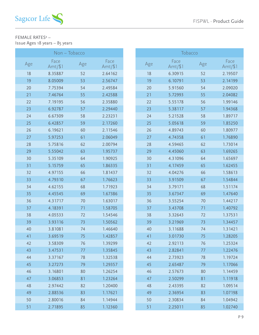

# FEMALE RATES4 – Issue Ages 18 years – 85 years

|     | Non – Tobacco     |     |                   |
|-----|-------------------|-----|-------------------|
| Age | Face<br>$Amt/\$1$ | Age | Face<br>$Amt/\$1$ |
| 18  | 8.35887           | 52  | 2.64162           |
| 19  | 8.05009           | 53  | 2.56747           |
| 20  | 7.75394           | 54  | 2.49584           |
| 21  | 7.46764           | 55  | 2.42588           |
| 22  | 7.19195           | 56  | 2.35880           |
| 23  | 6.92787           | 57  | 2.29440           |
| 24  | 6.67309           | 58  | 2.23231           |
| 25  | 6.42857           | 59  | 2.17260           |
| 26  | 6.19621           | 60  | 2.11546           |
| 27  | 5.97253           | 61  | 2.06049           |
| 28  | 5.75816           | 62  | 2.00794           |
| 29  | 5.55042           | 63  | 1.95737           |
| 30  | 5.35109           | 64  | 1.90925           |
| 31  | 5.15759           | 65  | 1.86335           |
| 32  | 4.97155           | 66  | 1.81437           |
| 33  | 4.79310           | 67  | 1.76623           |
| 34  | 4.62155           | 68  | 1.71923           |
| 35  | 4.45545           | 69  | 1.67386           |
| 36  | 4.31717           | 70  | 1.63017           |
| 37  | 4.18391           | 71  | 1.58705           |
| 38  | 4.05533           | 72  | 1.54546           |
| 39  | 3.93116           | 73  | 1.50562           |
| 40  | 3.81081           | 74  | 1.46640           |
| 41  | 3.69519           | 75  | 1.42857           |
| 42  | 3.58309           | 76  | 1.39299           |
| 43  | 3.47531           | 77  | 1.35845           |
| 44  | 3.37167           | 78  | 1.32538           |
| 45  | 3.27273           | 79  | 1.29357           |
| 46  | 3.16801           | 80  | 1.26254           |
| 47  | 3.06853           | 81  | 1.23264           |
| 48  | 2.97442           | 82  | 1.20400           |
| 49  | 2.88536           | 83  | 1.17621           |
| 50  | 2.80016           | 84  | 1.14944           |
| 51  | 2.71895           | 85  | 1.12360           |

| Tobacco |                   |     |                 |  |
|---------|-------------------|-----|-----------------|--|
| Age     | Face<br>$Amt/\$1$ | Age | Face<br>Amt/\$1 |  |
| 18      | 6.30915           | 52  | 2.19507         |  |
| 19      | 6.10791           | 53  | 2.14199         |  |
| 20      | 5.91560           | 54  | 2.09020         |  |
| 21      | 5.72993           | 55  | 2.04082         |  |
| 22      | 5.55178           | 56  | 1.99146         |  |
| 23      | 5.38117           | 57  | 1.94368         |  |
| 24      | 5.21528           | 58  | 1.89717         |  |
| 25      | 5.05618           | 59  | 1.85250         |  |
| 26      | 4.89743           | 60  | 1.80977         |  |
| 27      | 4.74358           | 61  | 1.76890         |  |
| 28      | 4.59465           | 62  | 1.73014         |  |
| 29      | 4.45060           | 63  | 1.69265         |  |
| 30      | 4.31096           | 64  | 1.65697         |  |
| 31      | 4.17459           | 65  | 1.62455         |  |
| 32      | 4.04276           | 66  | 1.58613         |  |
| 33      | 3.91509           | 67  | 1.54844         |  |
| 34      | 3.79171           | 68  | 1.51174         |  |
| 35      | 3.67347           | 69  | 1.47640         |  |
| 36      | 3.55254           | 70  | 1.44217         |  |
| 37      | 3.43708           | 71  | 1.40792         |  |
| 38      | 3.32643           | 72  | 1.37531         |  |
| 39      | 3.21969           | 73  | 1.34457         |  |
| 40      | 3.11688           | 74  | 1.31421         |  |
| 41      | 3.01730           | 75  | 1.28205         |  |
| 42      | 2.92113           | 76  | 1.25324         |  |
| 43      | 2.82841           | 77  | 1.22476         |  |
| 44      | 2.73923           | 78  | 1.19724         |  |
| 45      | 2.65487           | 79  | 1.17066         |  |
| 46      | 2.57673           | 80  | 1.14459         |  |
| 47      | 2.50299           | 81  | 1.11918         |  |
| 48      | 2.43395           | 82  | 1.09514         |  |
| 49      | 2.36954           | 83  | 1.07198         |  |
| 50      | 2.30834           | 84  | 1.04942         |  |
| 51      | 2.25011           | 85  | 1.02740         |  |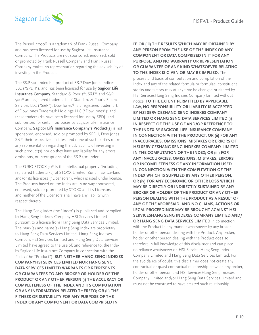

The Russell 2000® is a trademark of Frank Russell Company and has been licensed for use by Sagicor Life Insurance Company. The Products are not sponsored, endorsed, sold or promoted by Frank Russell Company and Frank Russell Company makes no representation regarding the advisability of investing in the Product.

The S&P 500 Index is a product of S&P Dow Jones Indices LLC ("SPDJI"), and has been licensed for use by **Sagicor Life Insurance Company.** Standard & Poor's®, S&P® and S&P 500® are registered trademarks of Standard & Poor's Financial Services LLC ("S&P"); Dow Jones® is a registered trademark of Dow Jones Trademark Holdings LLC ("Dow Jones"); and these trademarks have been licensed for use by SPDJI and sublicensed for certain purposes by Sagicor Life Insurance Company. **Sagicor Life Insurance Company's Product(s)** is not sponsored, endorsed, sold or promoted by SPDJI, Dow Jones, S&P, their respective affiliates, and none of such parties make any representation regarding the advisability of investing in such product(s) nor do they have any liability for any errors, omissions, or interruptions of the S&P 500 Index.

The EURO STOXX 50® is the intellectual property (including registered trademarks) of STOXX Limited, Zurich, Switzerland and/or its licensors ("Licensors"), which is used under license. The Products based on the Index are in no way sponsored, endorsed, sold or promoted by STOXX and its Licensors and neither of the Licensors shall have any liability with respect thereto.

The Hang Seng Index (the "Index") is published and compiled by Hang Seng Indexes Company HSI Services Limited pursuant to a license from Hang Seng Data Services Limited. The mark(s) and name(s) Hang Seng Index are proprietary to Hang Seng Data Services Limited. Hang Seng Indexes CompanyHSI Services Limited and Hang Seng Data Services Limited have agreed to the use of, and reference to, the Index by Sagicor Life Insurance Company in connection with the Policy (the "Product"), **BUT NEITHER HANG SENG INDEXES COMPANYHSI SERVICES LIMITED NOR HANG SENG DATA SERVICES LIMITED WARRANTS OR REPRESENTS OR GUARANTEES TO ANY BROKER OR HOLDER OF THE PRODUCT OR ANY OTHER PERSON (i) THE ACCURACY OR COMPLETENESS OF THE INDEX AND ITS COMPUTATION OR ANY INFORMATION RELATED THERETO; OR (ii) THE FITNESS OR SUITABILITY FOR ANY PURPOSE OF THE INDEX OR ANY COMPONENT OR DATA COMPRISED IN** 

**IT; OR (iii) THE RESULTS WHICH MAY BE OBTAINED BY ANY PERSON FROM THE USE OF THE INDEX OR ANY COMPONENT OR DATA COMPRISED IN IT FOR ANY PURPOSE, AND NO WARRANTY OR REPRESENTATION OR GUARANTEE OF ANY KIND WHATSOEVER RELATING TO THE INDEX IS GIVEN OR MAY BE IMPLIED.** The process and basis of computation and compilation of the Index and any of the related formula or formulae, constituent stocks and factors may at any time be changed or altered by HSI ServicesHang Seng Indexes Company Limited without notice. **TO THE EXTENT PERMITTED BY APPLICABLE LAW, NO RESPONSIBILITY OR LIABILITY IS ACCEPTED BY HSI SERVICESHANG SENG INDEXES COMPANY LIMITED OR HANG SENG DATA SERVICES LIMITED (i) IN RESPECT OF THE USE OF AND/OR REFERENCE TO THE INDEX BY SAGICOR LIFE INSURANCE COMPANY IN CONNECTION WITH THE PRODUCT; OR (ii) FOR ANY INACCURACIES, OMISSIONS, MISTAKES OR ERRORS OF HSI SERVICESHANG SENG INDEXES COMPANY LIMITED IN THE COMPUTATION OF THE INDEX; OR (iii) FOR ANY INACCURACIES, OMISSIONS, MISTAKES, ERRORS OR INCOMPLETENESS OF ANY INFORMATION USED IN CONNECTION WITH THE COMPUTATION OF THE INDEX WHICH IS SUPPLIED BY ANY OTHER PERSON; OR (iv) FOR ANY ECONOMIC OR OTHER LOSS WHICH MAY BE DIRECTLY OR INDIRECTLY SUSTAINED BY ANY BROKER OR HOLDER OF THE PRODUCT OR ANY OTHER PERSON DEALING WITH THE PRODUCT AS A RESULT OF ANY OF THE AFORESAID, AND NO CLAIMS, ACTIONS OR LEGAL PROCEEDINGS MAY BE BROUGHT AGAINST HSI SERVICESHANG SENG INDEXES COMPANY LIMITED AND/ OR HANG SENG DATA SERVICES LIMITED** in connection with the Product in any manner whatsoever by any broker, holder or other person dealing with the Product. Any broker, holder or other person dealing with the Product does so therefore in full knowledge of this disclaimer and can place no reliance whatsoever on HSI ServicesHang Seng Indexes Company Limited and Hang Seng Data Services Limited. For the avoidance of doubt, this disclaimer does not create any contractual or quasi-contractual relationship between any broker, holder or other person and HSI ServicesHang Seng Indexes Company Limited and/or Hang Seng Data Services Limited and must not be construed to have created such relationship.